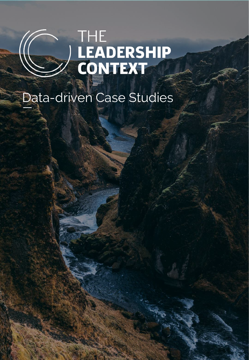# 

# Data-driven Case Studies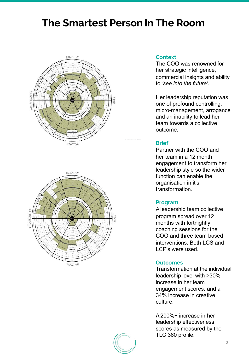## **The Smartest Person In The Room**





### **Context**

The COO was renowned for her strategic intelligence, commercial insights and ability to *'see into the future'.*

Her leadership reputation was one of profound controlling, micro-management, arrogance and an inability to lead her team towards a collective outcome.

### **Brief**

Partner with the COO and her team in a 12 month engagement to transform her leadership style so the wider function can enable the organisation in it's transformation.

### **Program**

Aleadership team collective program spread over 12 months with fortnightly coaching sessions for the COO and three team based interventions. Both LCS and LCP's were used.

### **Outcomes**

Transformation at the individual leadership level with >30% increase in her team engagement scores, and a 34% increase in creative culture.

A200%+ increase in her leadership effectiveness scores as measured by the TLC 360 profile.

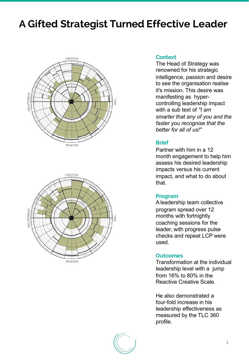# **A Gifted Strategist Turned Effective Leader**





### **Context**

The Head of Strategy was renowned for his strategic intelligence, passion and desire to see the organisation realise it's mission. This desire was manifesting as hypercontrolling leadership impact with a sub text of *"I am smarter that any of you and the faster you recognise that the better for all of us!"*

### **Brief**

Partner with him in a 12 month engagement to help him assess his desired leadership impacts versus his current impact, and what to do about that.

### **Program**

Aleadership team collective program spread over 12 months with fortnightly coaching sessions for the leader, with progress pulse checks and repeat LCP were used.

### **Outcomes**

Transformation at the individual leadership level with a jump from 16% to 80% in the Reactive Creative Scale.

He also demonstrated a four-fold increase in his leadership effectiveness as measured by the TLC 360 profile.

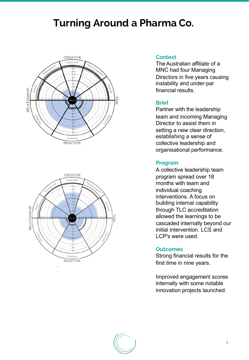# **Turning Around a Pharma Co.**





### **Context**

TheAustralian affiliate of a MNC had four Managing Directors in five years causing instability and under-par financial results.

### **Brief**

Partner with the leadership team and incoming Managing Director to assist them in setting a new clear direction, establishing a sense of collective leadership and organisational performance.

### **Program**

A collective leadership team program spread over 18 months with team and individual coaching interventions. A focus on building internal capability through TLC accreditation allowed the learnings to be cascaded internally beyond our initial intervention. LCS and LCP's were used.

### **Outcomes**

Strong financial results for the first time in nine years.

Improved engagement scores internally with some notable innovation projects launched.

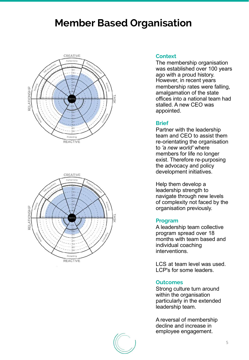# **Member Based Organisation**





### **Context**

The membership organisation was established over 100 years ago with a proud history. However, in recent years membership rates were falling, amalgamation of the state offices into a national team had stalled. A new CEO was appointed.

### **Brief**

Partner with the leadership team and CEO to assist them re-orientating the organisation to *'a new world'* where members for life no longer exist. Therefore re-purposing the advocacy and policy development initiatives.

Help them develop a leadership strength to navigate through new levels of complexity not faced by the organisation previously.

### **Program**

A leadership team collective program spread over 18 months with team based and individual coaching interventions.

LCS at team level was used. LCP's for some leaders.

### **Outcomes**

Strong culture turn around within the organisation particularly in the extended leadership team.

Areversal of membership decline and increase in employee engagement.